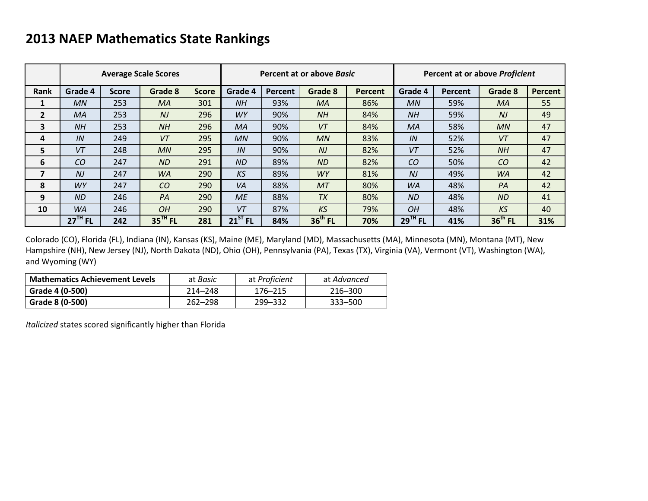# **2013 NAEP Mathematics State Rankings**

|                |                |              | <b>Average Scale Scores</b> |              |              |         | Percent at or above Basic |                | Percent at or above Proficient |         |           |         |  |
|----------------|----------------|--------------|-----------------------------|--------------|--------------|---------|---------------------------|----------------|--------------------------------|---------|-----------|---------|--|
| Rank           | Grade 4        | <b>Score</b> | Grade 8                     | <b>Score</b> | Grade 4      | Percent | Grade 8                   | <b>Percent</b> | Grade 4                        | Percent | Grade 8   | Percent |  |
| 1              | MN             | 253          | MA                          | 301          | <b>NH</b>    | 93%     | MA                        | 86%            | MN                             | 59%     | MA        | 55      |  |
| $\overline{2}$ | MA             | 253          | N <sub>J</sub>              | 296          | <b>WY</b>    | 90%     | NH                        | 84%            | <b>NH</b>                      | 59%     | $N$ J     | 49      |  |
| 3              | <b>NH</b>      | 253          | <b>NH</b>                   | 296          | MA           | 90%     | VT                        | 84%            | MA                             | 58%     | MN        | 47      |  |
| 4              | IN             | 249          | VT                          | 295          | MN           | 90%     | MN                        | 83%            | IN                             | 52%     | VT        | 47      |  |
| 5              | VT             | 248          | MN                          | 295          | IN           | 90%     | N                         | 82%            | VT                             | 52%     | <b>NH</b> | 47      |  |
| 6              | CO             | 247          | <b>ND</b>                   | 291          | <b>ND</b>    | 89%     | <b>ND</b>                 | 82%            | CO                             | 50%     | CO        | 42      |  |
| 7              | N <sub>J</sub> | 247          | <b>WA</b>                   | 290          | KS           | 89%     | <b>WY</b>                 | 81%            | NJ                             | 49%     | <b>WA</b> | 42      |  |
| 8              | <b>WY</b>      | 247          | CO                          | 290          | <b>VA</b>    | 88%     | MT                        | 80%            | <b>WA</b>                      | 48%     | PA        | 42      |  |
| 9              | ND             | 246          | PA                          | 290          | <b>ME</b>    | 88%     | <b>TX</b>                 | 80%            | <b>ND</b>                      | 48%     | <b>ND</b> | 41      |  |
| 10             | <b>WA</b>      | 246          | <b>OH</b>                   | 290          | VT           | 87%     | KS                        | 79%            | OH                             | 48%     | <b>KS</b> | 40      |  |
|                | $27TH$ FL      | 242          | $35$ <sup>TH</sup> FL       | 281          | $21^{ST}$ FL | 84%     | $36th$ FL                 | 70%            | $29$ <sup>TH</sup> FL          | 41%     | $36th$ FL | 31%     |  |

Colorado (CO), Florida (FL), Indiana (IN), Kansas (KS), Maine (ME), Maryland (MD), Massachusetts (MA), Minnesota (MN), Montana (MT), New Hampshire (NH), New Jersey (NJ), North Dakota (ND), Ohio (OH), Pennsylvania (PA), Texas (TX), Virginia (VA), Vermont (VT), Washington (WA), and Wyoming (WY)

| <b>Mathematics Achievement Levels</b> | at <i>Basic</i> | at Proficient | at Advanced |  |  |
|---------------------------------------|-----------------|---------------|-------------|--|--|
| Grade 4 (0-500)                       | $214 - 248$     | 176–215       | 216–300     |  |  |
| Grade 8 (0-500)                       | $262 - 298$     | 299–332       | 333–500     |  |  |

*Italicized* states scored significantly higher than Florida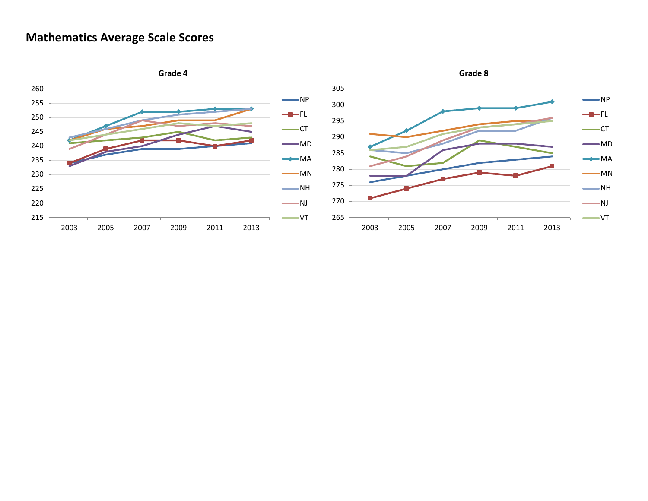### **Mathematics Average Scale Scores**